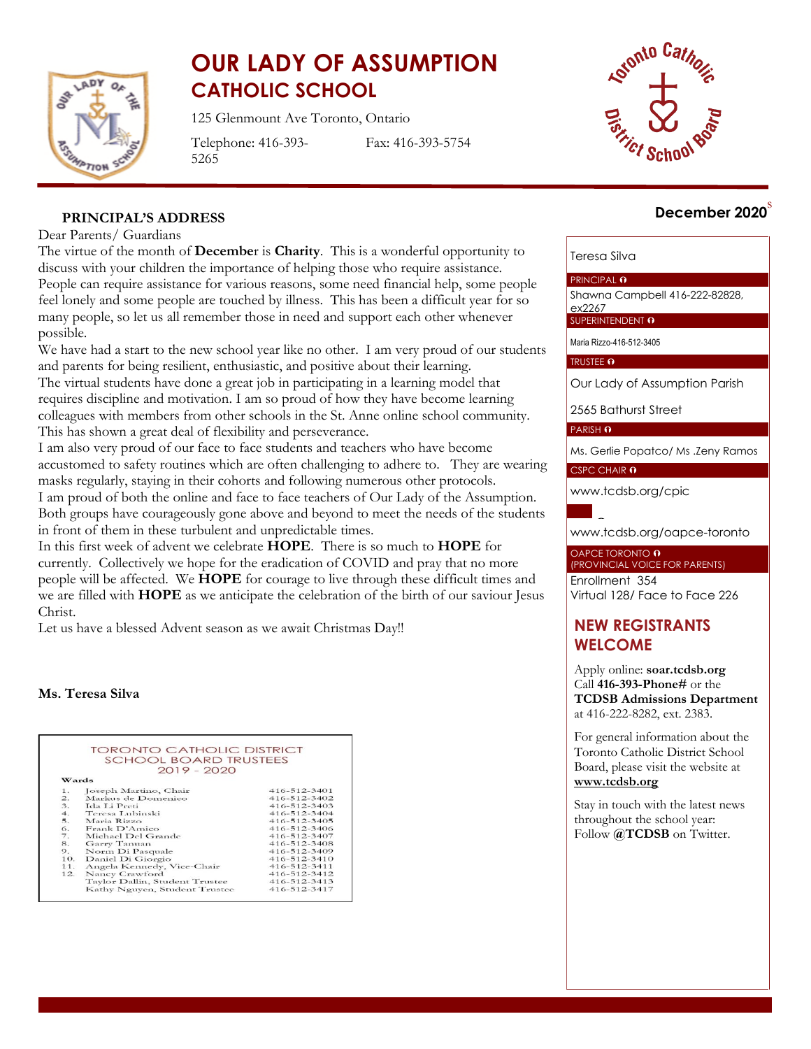

# **OUR LADY OF ASSUMPTION CATHOLIC SCHOOL**

125 Glenmount Ave Toronto, Ontario

Telephone: 416-393- 5265

Fax: 416-393-5754



# s **December 2020**

# **PRINCIPAL'S ADDRESS**

#### Dear Parents/ Guardians

The virtue of the month of **Decembe**r is **Charity**. This is a wonderful opportunity to discuss with your children the importance of helping those who require assistance. People can require assistance for various reasons, some need financial help, some people feel lonely and some people are touched by illness. This has been a difficult year for so many people, so let us all remember those in need and support each other whenever possible.

We have had a start to the new school year like no other. I am very proud of our students and parents for being resilient, enthusiastic, and positive about their learning. The virtual students have done a great job in participating in a learning model that requires discipline and motivation. I am so proud of how they have become learning colleagues with members from other schools in the St. Anne online school community. This has shown a great deal of flexibility and perseverance.

I am also very proud of our face to face students and teachers who have become accustomed to safety routines which are often challenging to adhere to. They are wearing masks regularly, staying in their cohorts and following numerous other protocols. I am proud of both the online and face to face teachers of Our Lady of the Assumption. Both groups have courageously gone above and beyond to meet the needs of the students in front of them in these turbulent and unpredictable times.

In this first week of advent we celebrate **HOPE**. There is so much to **HOPE** for currently. Collectively we hope for the eradication of COVID and pray that no more people will be affected. We **HOPE** for courage to live through these difficult times and we are filled with **HOPE** as we anticipate the celebration of the birth of our saviour Jesus Christ.

Let us have a blessed Advent season as we await Christmas Day!!

#### **Ms. Teresa Silva**

|                  | <b>TORONTO CATHOLIC DISTRICT</b><br><b>SCHOOL BOARD TRUSTEES</b> |                    |
|------------------|------------------------------------------------------------------|--------------------|
|                  |                                                                  |                    |
|                  | $2019 - 2020$                                                    |                    |
| Wards            |                                                                  |                    |
| 1.               | Joseph Martino, Chair                                            | 416-512-3401       |
| $\overline{2}$ . | Markus de Domenico                                               | 416-512-3402       |
| 3.               | Ida Li Preti                                                     | $416 - 512 - 3403$ |
| 4.               | Teresa Lubinski                                                  | 416-512-3404       |
| 5.               | Maria Rizzo                                                      | 416-512-3405       |
| 6.               | Frank D'Amico                                                    | 416-512-3406       |
| 7.               | Michael Del Grande                                               | 416-512-3407       |
| 8.               | Garry Tanuan                                                     | $416 - 512 - 3408$ |
| 9.               | Norm Di Pasquale                                                 | 416-512-3409       |
| 10.              | Daniel Di Giorgio                                                | $416 - 512 - 3410$ |
| 11.              | Angela Kennedy, Vice-Chair                                       | 416-512-3411       |
| 12.              | Nancy Crawford                                                   | 416-512-3412       |
|                  | Taylor Dallin, Student Trustee                                   | 416-512-3413       |
|                  | Kathy Nguyen, Student Trustee                                    | 416-512-3417       |

#### Teresa Silva

#### PRINCIPAL **O**

Shawna Campbell 416-222-82828, ex2267

SUPERINTENDENT O

Maria Rizzo-416-512-3405

#### TRUSTEE O

Our Lady of Assumption Parish

2565 Bathurst Street

PARISH O

Ms. Gerlie Popatco/ Ms .Zeny Ramos

CSPC CHAIR 0

[www.tcdsb.org/cpic](http://www.tcdsb.org/cpic)



[www.tcdsb.org/oapce](http://www.tcdsb.org/oapce-toronto)-toronto

#### OAPCE TORONTO **O** (PROVINCIAL VOICE FOR PARENTS)

Enrollment 354 Virtual 128/ Face to Face 226

# **NEW REGISTRANTS WELCOME**

Apply online: **soar.tcdsb.org** Call **416-393-Phone#** or the **TCDSB Admissions Department** at 416-222-8282, ext. 2383.

For general information about the Toronto Catholic District School Board, please visit the website at **[www.tcdsb.org](http://www.tcdsb.org/)**

Stay in touch with the latest news throughout the school year: Follow  $\mathbf{\omega}$ **TCDSB** on Twitter.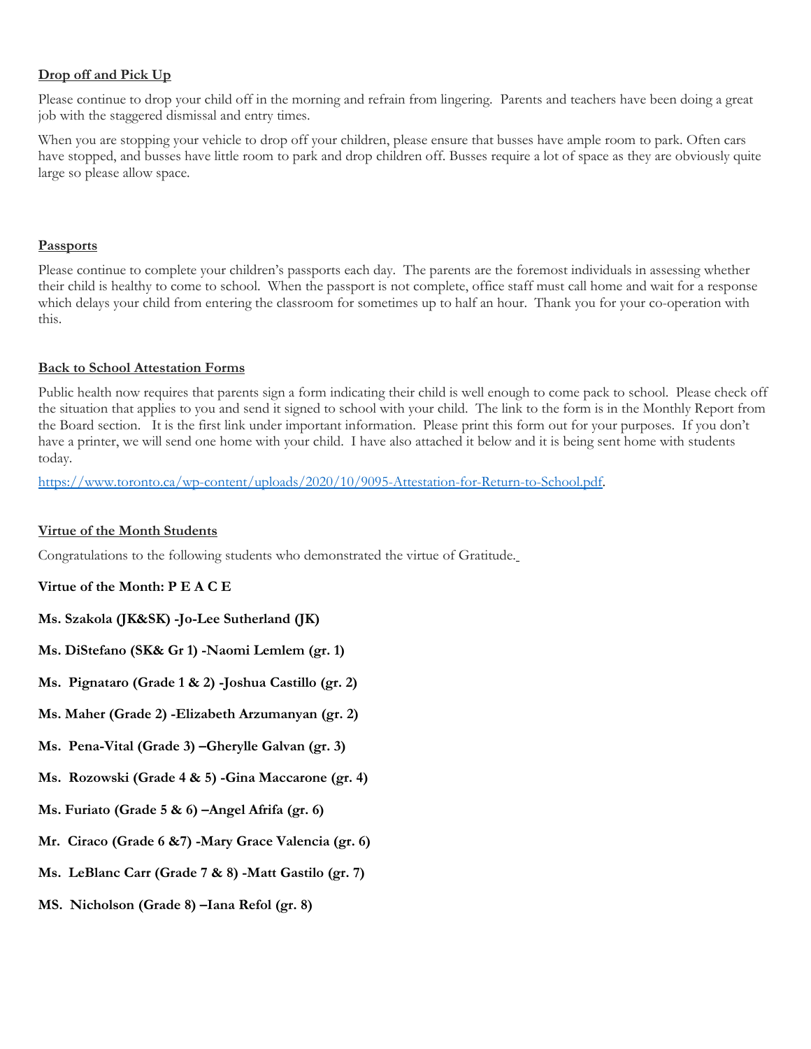# **Drop off and Pick Up**

Please continue to drop your child off in the morning and refrain from lingering. Parents and teachers have been doing a great job with the staggered dismissal and entry times.

When you are stopping your vehicle to drop off your children, please ensure that busses have ample room to park. Often cars have stopped, and busses have little room to park and drop children off. Busses require a lot of space as they are obviously quite large so please allow space.

#### **Passports**

Please continue to complete your children's passports each day. The parents are the foremost individuals in assessing whether their child is healthy to come to school. When the passport is not complete, office staff must call home and wait for a response which delays your child from entering the classroom for sometimes up to half an hour. Thank you for your co-operation with this.

# **Back to School Attestation Forms**

Public health now requires that parents sign a form indicating their child is well enough to come pack to school. Please check off the situation that applies to you and send it signed to school with your child. The link to the form is in the Monthly Report from the Board section. It is the first link under important information. Please print this form out for your purposes. If you don't have a printer, we will send one home with your child. I have also attached it below and it is being sent home with students today.

[https://www.toronto.ca/wp-content/uploads/2020/10/9095-Attestation-for-Return-to-School.pdf.](https://www.toronto.ca/wp-content/uploads/2020/10/9095-Attestation-for-Return-to-School.pdf)

#### **Virtue of the Month Students**

Congratulations to the following students who demonstrated the virtue of Gratitude.

#### **Virtue of the Month: P E A C E**

- **Ms. Szakola (JK&SK) -Jo-Lee Sutherland (JK)**
- **Ms. DiStefano (SK& Gr 1) -Naomi Lemlem (gr. 1)**
- **Ms. Pignataro (Grade 1 & 2) -Joshua Castillo (gr. 2)**
- **Ms. Maher (Grade 2) -Elizabeth Arzumanyan (gr. 2)**
- **Ms. Pena-Vital (Grade 3) –Gherylle Galvan (gr. 3)**
- **Ms. Rozowski (Grade 4 & 5) -Gina Maccarone (gr. 4)**
- **Ms. Furiato (Grade 5 & 6) –Angel Afrifa (gr. 6)**
- **Mr. Ciraco (Grade 6 &7) -Mary Grace Valencia (gr. 6)**
- **Ms. LeBlanc Carr (Grade 7 & 8) -Matt Gastilo (gr. 7)**
- **MS. Nicholson (Grade 8) –Iana Refol (gr. 8)**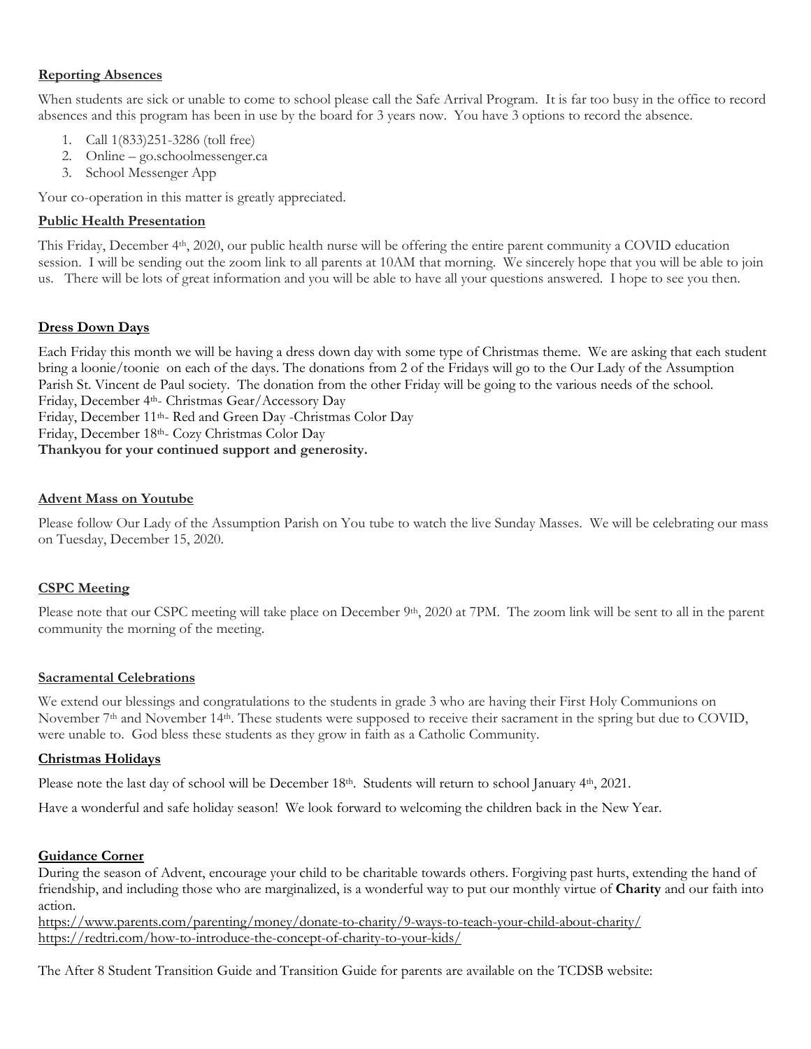#### **Reporting Absences**

When students are sick or unable to come to school please call the Safe Arrival Program. It is far too busy in the office to record absences and this program has been in use by the board for 3 years now. You have 3 options to record the absence.

- 1. Call 1(833)251-3286 (toll free)
- 2. Online go.schoolmessenger.ca
- 3. School Messenger App

Your co-operation in this matter is greatly appreciated.

#### **Public Health Presentation**

This Friday, December 4th, 2020, our public health nurse will be offering the entire parent community a COVID education session. I will be sending out the zoom link to all parents at 10AM that morning. We sincerely hope that you will be able to join us. There will be lots of great information and you will be able to have all your questions answered. I hope to see you then.

#### **Dress Down Days**

Each Friday this month we will be having a dress down day with some type of Christmas theme. We are asking that each student bring a loonie/toonie on each of the days. The donations from 2 of the Fridays will go to the Our Lady of the Assumption Parish St. Vincent de Paul society. The donation from the other Friday will be going to the various needs of the school. Friday, December 4<sup>th</sup>- Christmas Gear/Accessory Day Friday, December 11th- Red and Green Day -Christmas Color Day

Friday, December 18th- Cozy Christmas Color Day

**Thankyou for your continued support and generosity.**

#### **Advent Mass on Youtube**

Please follow Our Lady of the Assumption Parish on You tube to watch the live Sunday Masses. We will be celebrating our mass on Tuesday, December 15, 2020.

# **CSPC Meeting**

Please note that our CSPC meeting will take place on December 9<sup>th</sup>, 2020 at 7PM. The zoom link will be sent to all in the parent community the morning of the meeting.

#### **Sacramental Celebrations**

We extend our blessings and congratulations to the students in grade 3 who are having their First Holy Communions on November  $7<sup>th</sup>$  and November 14<sup>th</sup>. These students were supposed to receive their sacrament in the spring but due to COVID, were unable to. God bless these students as they grow in faith as a Catholic Community.

#### **Christmas Holidays**

Please note the last day of school will be December 18<sup>th</sup>. Students will return to school January 4<sup>th</sup>, 2021.

Have a wonderful and safe holiday season! We look forward to welcoming the children back in the New Year.

#### **Guidance Corner**

During the season of Advent, encourage your child to be charitable towards others. Forgiving past hurts, extending the hand of friendship, and including those who are marginalized, is a wonderful way to put our monthly virtue of **Charity** and our faith into action.

<https://www.parents.com/parenting/money/donate-to-charity/9-ways-to-teach-your-child-about-charity/> <https://redtri.com/how-to-introduce-the-concept-of-charity-to-your-kids/>

The After 8 Student Transition Guide and Transition Guide for parents are available on the TCDSB website: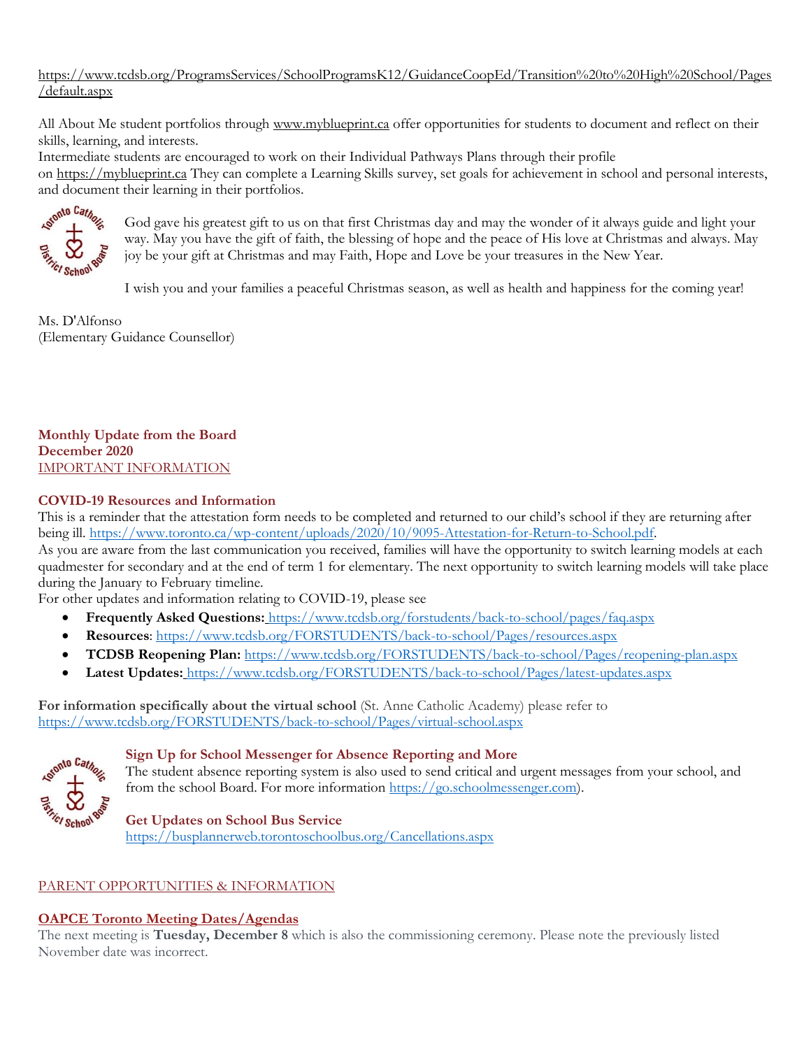[https://www.tcdsb.org/ProgramsServices/SchoolProgramsK12/GuidanceCoopEd/Transition%20to%20High%20School/Pages](https://www.tcdsb.org/ProgramsServices/SchoolProgramsK12/GuidanceCoopEd/Transition%20to%20High%20School/Pages/default.aspx) [/default.aspx](https://www.tcdsb.org/ProgramsServices/SchoolProgramsK12/GuidanceCoopEd/Transition%20to%20High%20School/Pages/default.aspx)

All About Me student portfolios through [www.myblueprint.ca](http://www.myblueprint.ca/) offer opportunities for students to document and reflect on their skills, learning, and interests.

Intermediate students are encouraged to work on their Individual Pathways Plans through their profile

on [https://myblueprint.ca](https://myblueprint.ca/) They can complete a Learning Skills survey, set goals for achievement in school and personal interests, and document their learning in their portfolios.



God gave his greatest gift to us on that first Christmas day and may the wonder of it always guide and light your way. May you have the gift of faith, the blessing of hope and the peace of His love at Christmas and always. May joy be your gift at Christmas and may Faith, Hope and Love be your treasures in the New Year.

I wish you and your families a peaceful Christmas season, as well as health and happiness for the coming year!

Ms. D'Alfonso (Elementary Guidance Counsellor)

**Monthly Update from the Board December 2020** IMPORTANT INFORMATION

#### **COVID-19 Resources and Information**

This is a reminder that the attestation form needs to be completed and returned to our child's school if they are returning after being ill. [https://www.toronto.ca/wp-content/uploads/2020/10/9095-Attestation-for-Return-to-School.pdf.](https://www.toronto.ca/wp-content/uploads/2020/10/9095-Attestation-for-Return-to-School.pdf)

As you are aware from the last communication you received, families will have the opportunity to switch learning models at each quadmester for secondary and at the end of term 1 for elementary. The next opportunity to switch learning models will take place during the January to February timeline.

For other updates and information relating to COVID-19, please see

- **Frequently Asked Questions:** <https://www.tcdsb.org/forstudents/back-to-school/pages/faq.aspx>
- **Resources**:<https://www.tcdsb.org/FORSTUDENTS/back-to-school/Pages/resources.aspx>
- **TCDSB Reopening Plan:** <https://www.tcdsb.org/FORSTUDENTS/back-to-school/Pages/reopening-plan.aspx>
- **Latest Updates:** <https://www.tcdsb.org/FORSTUDENTS/back-to-school/Pages/latest-updates.aspx>

**For information specifically about the virtual school** (St. Anne Catholic Academy) please refer to <https://www.tcdsb.org/FORSTUDENTS/back-to-school/Pages/virtual-school.aspx>



#### **Sign Up for School Messenger for Absence Reporting and More**

The student absence reporting system is also used to send critical and urgent messages from your school, and from the school Board. For more information [https://go.schoolmessenger.com\)](https://go.schoolmessenger.com/).

#### **Get Updates on School Bus Service**

<https://busplannerweb.torontoschoolbus.org/Cancellations.aspx>

# PARENT OPPORTUNITIES & INFORMATION

#### **[OAPCE Toronto Meeting Dates/Agendas](https://t.e2ma.net/click/dfc8yc/1tzq8og/pcex1t)**

The next meeting is **Tuesday, December 8** which is also the commissioning ceremony. Please note the previously listed November date was incorrect.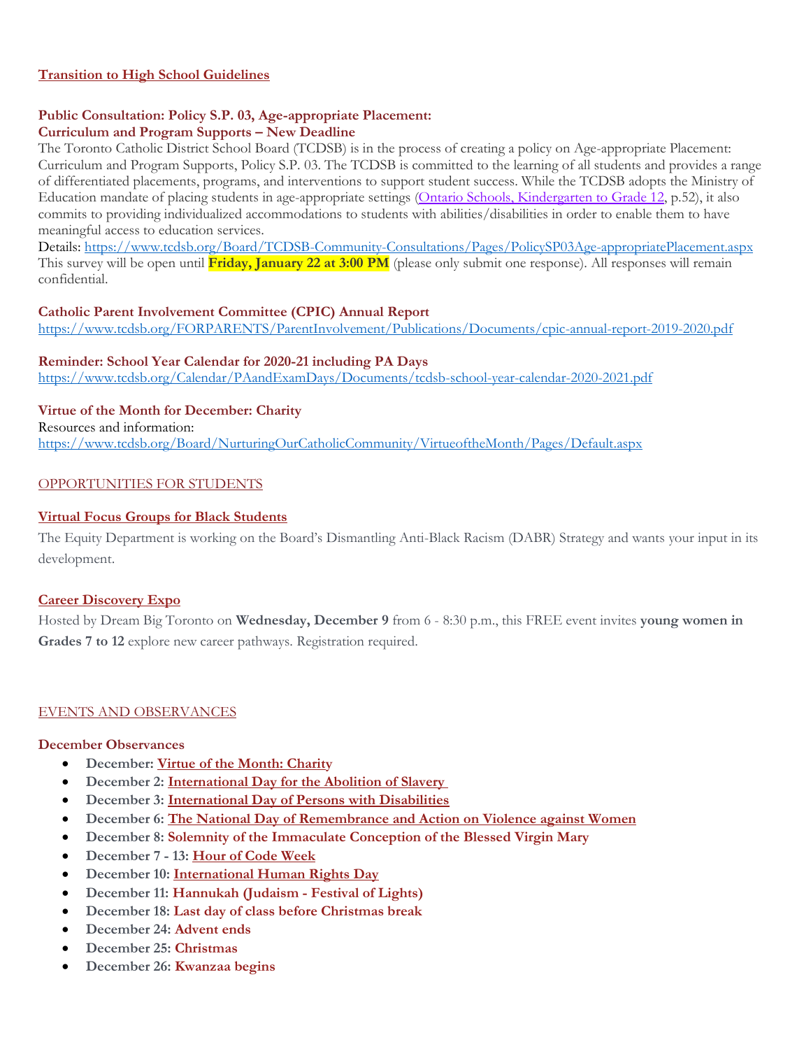#### **[Transition to High School Guidelines](https://t.e2ma.net/click/dfc8yc/pkw0ine/hihx1t)**

#### **Public Consultation: Policy S.P. 03, Age-appropriate Placement: Curriculum and Program Supports – New Deadline**

The Toronto Catholic District School Board (TCDSB) is in the process of creating a policy on Age-appropriate Placement: Curriculum and Program Supports, Policy S.P. 03. The TCDSB is committed to the learning of all students and provides a range of differentiated placements, programs, and interventions to support student success. While the TCDSB adopts the Ministry of Education mandate of placing students in age-appropriate settings [\(Ontario Schools, Kindergarten to Grade 12,](http://www.edu.gov.on.ca/eng/document/policy/os/onschools_2016e.pdf) p.52), it also commits to providing individualized accommodations to students with abilities/disabilities in order to enable them to have meaningful access to education services.

Details[: https://www.tcdsb.org/Board/TCDSB-Community-Consultations/Pages/PolicySP03Age-appropriatePlacement.aspx](https://www.tcdsb.org/Board/TCDSB-Community-Consultations/Pages/PolicySP03Age-appropriatePlacement.aspx) This survey will be open until **Friday, January 22 at 3:00 PM** (please only submit one response). All responses will remain confidential.

#### **Catholic Parent Involvement Committee (CPIC) Annual Report**

<https://www.tcdsb.org/FORPARENTS/ParentInvolvement/Publications/Documents/cpic-annual-report-2019-2020.pdf>

#### **Reminder: School Year Calendar for 2020-21 including PA Days**

<https://www.tcdsb.org/Calendar/PAandExamDays/Documents/tcdsb-school-year-calendar-2020-2021.pdf>

#### **Virtue of the Month for December: Charity**

Resources and information:

<https://www.tcdsb.org/Board/NurturingOurCatholicCommunity/VirtueoftheMonth/Pages/Default.aspx>

#### OPPORTUNITIES FOR STUDENTS

#### **[Virtual Focus Groups for Black](https://t.e2ma.net/click/dfc8yc/pkw0ine/xaix1t) Students**

The Equity Department is working on the Board's Dismantling Anti-Black Racism (DABR) Strategy and wants your input in its development.

#### **[Career Discovery Expo](https://t.e2ma.net/click/dfc8yc/pkw0ine/tvjx1t)**

Hosted by Dream Big Toronto on **Wednesday, December 9** from 6 - 8:30 p.m., this FREE event invites **young women in Grades 7 to 12** explore new career pathways. Registration required.

#### EVENTS AND OBSERVANCES

#### **December Observances**

- **December: [Virtue of the Month: Charity](https://t.e2ma.net/click/dfc8yc/pkw0ine/1xux1t)**
- **December 2: [International Day for the Abolition of Slavery](https://t.e2ma.net/click/dfc8yc/pkw0ine/hqvx1t)**
- **December 3: International Day of [Persons with Disabilities](https://t.e2ma.net/click/dfc8yc/pkw0ine/xiwx1t)**
- **December 6: [The National Day of Remembrance and Action on Violence against Women](https://t.e2ma.net/click/dfc8yc/pkw0ine/dbxx1t)**
- **December 8: Solemnity of the Immaculate Conception of the Blessed Virgin Mary**
- **December 7 - 13: [Hour of Code Week](https://t.e2ma.net/click/dfc8yc/pkw0ine/t3xx1t)**
- **December 10: [International Human Rights Day](https://t.e2ma.net/click/dfc8yc/pkw0ine/9vyx1t)**
- **December 11: Hannukah (Judaism - Festival of Lights)**
- **December 18: Last day of class before Christmas break**
- **December 24: Advent ends**
- **December 25: Christmas**
- **December 26: Kwanzaa begins**